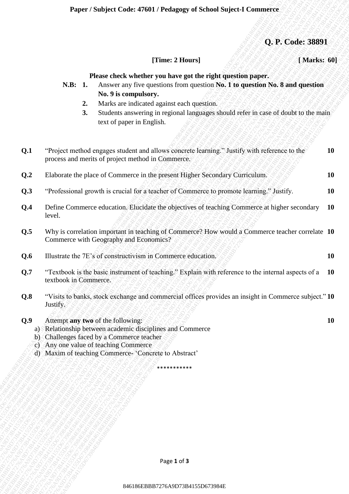## **Q. P. Code: 38891**

### **[Time: 2 Hours]** *sings and secured* **in the security of**  $\{Marks: 60\}$

#### **Please check whether you have got the right question paper.**

| N.B: |                      | Answer any five questions from question No. 1 to question No. 8 and question |
|------|----------------------|------------------------------------------------------------------------------|
|      | No. 9 is compulsory. |                                                                              |
|      |                      |                                                                              |

- **2.** Marks are indicated against each question.
- **3.** Students answering in regional languages should refer in case of doubt to the main text of paper in English.

|     | Q. P. Code: 38891                                                                                                                                                                                                                                                                                                                                           |           |
|-----|-------------------------------------------------------------------------------------------------------------------------------------------------------------------------------------------------------------------------------------------------------------------------------------------------------------------------------------------------------------|-----------|
|     | [Time: 2 Hours]<br>[Marks: 60]                                                                                                                                                                                                                                                                                                                              |           |
|     | Please check whether you have got the right question paper.<br>N.B: 1.<br>Answer any five questions from question No. 1 to question No. 8 and question<br>No. 9 is compulsory.<br>Marks are indicated against each question.<br>2.<br>Students answering in regional languages should refer in case of doubt to the main<br>3.<br>text of paper in English. |           |
| Q.1 | "Project method engages student and allows concrete learning." Justify with reference to the<br>process and merits of project method in Commerce.                                                                                                                                                                                                           | <b>10</b> |
| Q.2 | Elaborate the place of Commerce in the present Higher Secondary Curriculum.                                                                                                                                                                                                                                                                                 | <b>10</b> |
| Q.3 | "Professional growth is crucial for a teacher of Commerce to promote learning." Justify.                                                                                                                                                                                                                                                                    | <b>10</b> |
| Q.4 | Define Commerce education. Elucidate the objectives of teaching Commerce at higher secondary<br>level.                                                                                                                                                                                                                                                      | <b>10</b> |
| Q.5 | Why is correlation important in teaching of Commerce? How would a Commerce teacher correlate 10<br>Commerce with Geography and Economics?                                                                                                                                                                                                                   |           |
| Q.6 | Illustrate the 7E's of constructivism in Commerce education.                                                                                                                                                                                                                                                                                                | <b>10</b> |
| Q.7 | "Textbook is the basic instrument of teaching." Explain with reference to the internal aspects of a<br>textbook in Commerce.                                                                                                                                                                                                                                | <b>10</b> |
| Q.8 | "Visits to banks, stock exchange and commercial offices provides an insight in Commerce subject." 10<br>Justify.                                                                                                                                                                                                                                            |           |
| Q.9 | Attempt any two of the following:<br>a) Relationship between academic disciplines and Commerce<br>b) Challenges faced by a Commerce teacher<br>c) Any one value of teaching Commerce<br>d) Maxim of teaching Commerce- 'Concrete to Abstract'                                                                                                               | <b>10</b> |
|     | ***********                                                                                                                                                                                                                                                                                                                                                 |           |
|     |                                                                                                                                                                                                                                                                                                                                                             |           |
|     | Page 1 of 3                                                                                                                                                                                                                                                                                                                                                 |           |
|     |                                                                                                                                                                                                                                                                                                                                                             |           |

- b) Challenges faced by a Commerce teacher
- c) Any one value of teaching Commerce
- d) Maxim of teaching Commerce- 'Concrete to Abstract'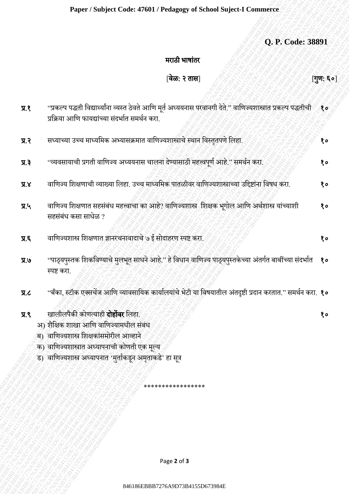## मराठी भाषांतर

# [वेळ: २ तास] [गणि: ६०]

| मराठी भाषांतर<br>[वेळ: २ तास]<br>''प्रकल्प पद्धती विद्यार्थ्यांना व्यस्त ठेवते आणि मूर्त अध्ययनास परवानगी देते,'' वाणिज्यशास्त्रात प्रकल्प पद्धतीची<br>9.8<br>प्रक्रिया आणि फायद्यांच्या संदर्भात समर्थन करा.<br>सध्याच्या उच्च माध्यमिक अभ्यासक्रमात वाणिज्यशास्त्राचे स्थान विस्तृतपणे लिहा.<br>9.7<br>१०<br>''व्यवसायाची प्रगती वाणिज्य अध्ययनास चालना देण्यासाठी महत्त्वपूर्ण आहे.'' समर्थन करा.<br>5.7<br>१०<br>वाणिज्य शिक्षणाची व्याख्या लिहा. उच्च माध्यमिक पातळीवर वाणिज्यशास्त्राच्या उद्दिष्टांना विषध करा.<br>$X$ . $X$<br>१०<br>वाणिज्य शिक्षणात सहसंबंध महत्त्वाचा का आहे? वाणिज्यशास्त्र शिक्षक भूगोल आणि अर्थशास्त्र यांच्याशी<br>१०<br>$\Pi$ . $\Delta$<br>सहसंबंध कसा साधेळ ?<br>वाणिज्यशास्त्र शिक्षणात ज्ञानरचनावादाचे ७ ई सोदाहरण स्पष्ट करा.<br>$\overline{a}$ . R<br>१०<br>"पाठ्यपुस्तक शिकविण्याचे मुलभूत साधने आहे." हे विधान वाणिज्य पाठ्यपुस्तकेच्या अंतर्गत बाबींच्या संदर्भात <b>१०</b><br>9R<br>स्पष्ट करा.<br>''बँका, स्टॉक एक्सचेंज आणि व्यावसायिक कार्यालयांचे भेटी या विषयातील अंतदृष्टी प्रदान करतात.'' समर्थन करा. <b>१०</b><br>J.R<br>खालीलपैकी कोणत्याही <b>दोहोंवर</b> लिहा.<br>9.8<br>१०<br>अ) शैक्षिक शाखा आणि वाणिज्यामधील संबंध<br>ब) वाणिज्यशास्त्र शिक्षकांसमोरील आव्हाने<br>क) वाणिज्यशास्त्रात अध्यापनाची कोणती एक मूल्य<br>ड) वाणिज्यशास्त्र अध्यापनात 'मुर्ताकडून अमृताकडे' हा सूत्र<br>****************<br>Page 2 of 3 | Q. P. Code: 38891 |           |
|--------------------------------------------------------------------------------------------------------------------------------------------------------------------------------------------------------------------------------------------------------------------------------------------------------------------------------------------------------------------------------------------------------------------------------------------------------------------------------------------------------------------------------------------------------------------------------------------------------------------------------------------------------------------------------------------------------------------------------------------------------------------------------------------------------------------------------------------------------------------------------------------------------------------------------------------------------------------------------------------------------------------------------------------------------------------------------------------------------------------------------------------------------------------------------------------------------------------------------------------------------------------------------------------------------------------------------------------------------------------------|-------------------|-----------|
|                                                                                                                                                                                                                                                                                                                                                                                                                                                                                                                                                                                                                                                                                                                                                                                                                                                                                                                                                                                                                                                                                                                                                                                                                                                                                                                                                                          |                   |           |
|                                                                                                                                                                                                                                                                                                                                                                                                                                                                                                                                                                                                                                                                                                                                                                                                                                                                                                                                                                                                                                                                                                                                                                                                                                                                                                                                                                          |                   | [गुण: ६०] |
|                                                                                                                                                                                                                                                                                                                                                                                                                                                                                                                                                                                                                                                                                                                                                                                                                                                                                                                                                                                                                                                                                                                                                                                                                                                                                                                                                                          |                   |           |
|                                                                                                                                                                                                                                                                                                                                                                                                                                                                                                                                                                                                                                                                                                                                                                                                                                                                                                                                                                                                                                                                                                                                                                                                                                                                                                                                                                          |                   |           |
|                                                                                                                                                                                                                                                                                                                                                                                                                                                                                                                                                                                                                                                                                                                                                                                                                                                                                                                                                                                                                                                                                                                                                                                                                                                                                                                                                                          |                   |           |
|                                                                                                                                                                                                                                                                                                                                                                                                                                                                                                                                                                                                                                                                                                                                                                                                                                                                                                                                                                                                                                                                                                                                                                                                                                                                                                                                                                          |                   |           |
|                                                                                                                                                                                                                                                                                                                                                                                                                                                                                                                                                                                                                                                                                                                                                                                                                                                                                                                                                                                                                                                                                                                                                                                                                                                                                                                                                                          |                   |           |
|                                                                                                                                                                                                                                                                                                                                                                                                                                                                                                                                                                                                                                                                                                                                                                                                                                                                                                                                                                                                                                                                                                                                                                                                                                                                                                                                                                          |                   |           |
|                                                                                                                                                                                                                                                                                                                                                                                                                                                                                                                                                                                                                                                                                                                                                                                                                                                                                                                                                                                                                                                                                                                                                                                                                                                                                                                                                                          |                   |           |
|                                                                                                                                                                                                                                                                                                                                                                                                                                                                                                                                                                                                                                                                                                                                                                                                                                                                                                                                                                                                                                                                                                                                                                                                                                                                                                                                                                          |                   |           |
|                                                                                                                                                                                                                                                                                                                                                                                                                                                                                                                                                                                                                                                                                                                                                                                                                                                                                                                                                                                                                                                                                                                                                                                                                                                                                                                                                                          |                   |           |
|                                                                                                                                                                                                                                                                                                                                                                                                                                                                                                                                                                                                                                                                                                                                                                                                                                                                                                                                                                                                                                                                                                                                                                                                                                                                                                                                                                          |                   |           |
|                                                                                                                                                                                                                                                                                                                                                                                                                                                                                                                                                                                                                                                                                                                                                                                                                                                                                                                                                                                                                                                                                                                                                                                                                                                                                                                                                                          |                   |           |
|                                                                                                                                                                                                                                                                                                                                                                                                                                                                                                                                                                                                                                                                                                                                                                                                                                                                                                                                                                                                                                                                                                                                                                                                                                                                                                                                                                          |                   |           |